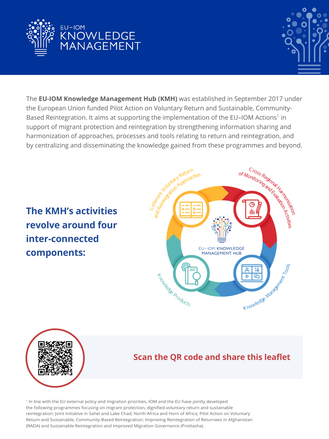



The **EU-IOM Knowledge Management Hub (KMH)** was established in September 2017 under the European Union funded Pilot Action on Voluntary Return and Sustainable, Community-Based Reintegration. It aims at supporting the implementation of the EU-IOM Actions<sup>1</sup> in support of migrant protection and reintegration by strengthening information sharing and harmonization of approaches, processes and tools relating to return and reintegration, and by centralizing and disseminating the knowledge gained from these programmes and beyond.

**The KMH's activities revolve around four inter-connected components:**





# **Scan the QR code and share this leaflet**

1 In line with the EU external policy and migration priorities, IOM and the EU have jointly developed the following programmes focusing on migrant protection, dignified voluntary return and sustainable reintegration: Joint Initiative in Sahel and Lake Chad, North Africa and Horn of Africa; Pilot Action on Voluntary Return and Sustainable, Community-Based Reintegration; Improving Reintegration of Returnees in Afghanistan (RADA) and Sustainable Reintegration and Improved Migration Governance (Prottasha).